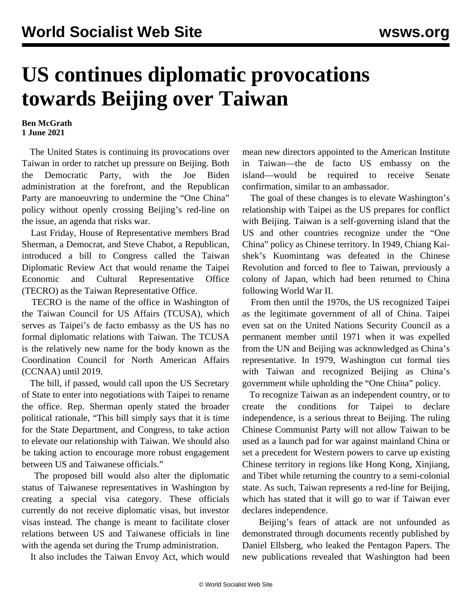## **US continues diplomatic provocations towards Beijing over Taiwan**

## **Ben McGrath 1 June 2021**

 The United States is continuing its provocations over Taiwan in order to ratchet up pressure on Beijing. Both the Democratic Party, with the Joe Biden administration at the forefront, and the Republican Party are manoeuvring to undermine the "One China" policy without openly crossing Beijing's red-line on the issue, an agenda that risks war.

 Last Friday, House of Representative members Brad Sherman, a Democrat, and Steve Chabot, a Republican, introduced a bill to Congress called the Taiwan Diplomatic Review Act that would rename the Taipei Economic and Cultural Representative Office (TECRO) as the Taiwan Representative Office.

 TECRO is the name of the office in Washington of the Taiwan Council for US Affairs (TCUSA), which serves as Taipei's de facto embassy as the US has no formal diplomatic relations with Taiwan. The TCUSA is the relatively new name for the body known as the Coordination Council for North American Affairs (CCNAA) until 2019.

 The bill, if passed, would call upon the US Secretary of State to enter into negotiations with Taipei to rename the office. Rep. Sherman openly stated the broader political rationale, "This bill simply says that it is time for the State Department, and Congress, to take action to elevate our relationship with Taiwan. We should also be taking action to encourage more robust engagement between US and Taiwanese officials."

 The proposed bill would also alter the diplomatic status of Taiwanese representatives in Washington by creating a special visa category. These officials currently do not receive diplomatic visas, but investor visas instead. The change is meant to facilitate closer relations between US and Taiwanese officials in line with the agenda set during the Trump administration.

It also includes the Taiwan Envoy Act, which would

mean new directors appointed to the American Institute in Taiwan—the de facto US embassy on the island—would be required to receive Senate confirmation, similar to an ambassador.

 The goal of these changes is to elevate Washington's relationship with Taipei as the US prepares for conflict with Beijing. Taiwan is a self-governing island that the US and other countries recognize under the "One China" policy as Chinese territory. In 1949, Chiang Kaishek's Kuomintang was defeated in the Chinese Revolution and forced to flee to Taiwan, previously a colony of Japan, which had been returned to China following World War II.

 From then until the 1970s, the US recognized Taipei as the legitimate government of all of China. Taipei even sat on the United Nations Security Council as a permanent member until 1971 when it was expelled from the UN and Beijing was acknowledged as China's representative. In 1979, Washington cut formal ties with Taiwan and recognized Beijing as China's government while upholding the "One China" policy.

 To recognize Taiwan as an independent country, or to create the conditions for Taipei to declare independence, is a serious threat to Beijing. The ruling Chinese Communist Party will not allow Taiwan to be used as a launch pad for war against mainland China or set a precedent for Western powers to carve up existing Chinese territory in regions like Hong Kong, Xinjiang, and Tibet while returning the country to a semi-colonial state. As such, Taiwan represents a red-line for Beijing, which has stated that it will go to war if Taiwan ever declares independence.

 Beijing's fears of attack are not unfounded as demonstrated through documents recently published by Daniel Ellsberg, who leaked the Pentagon Papers. The new publications revealed that Washington had been